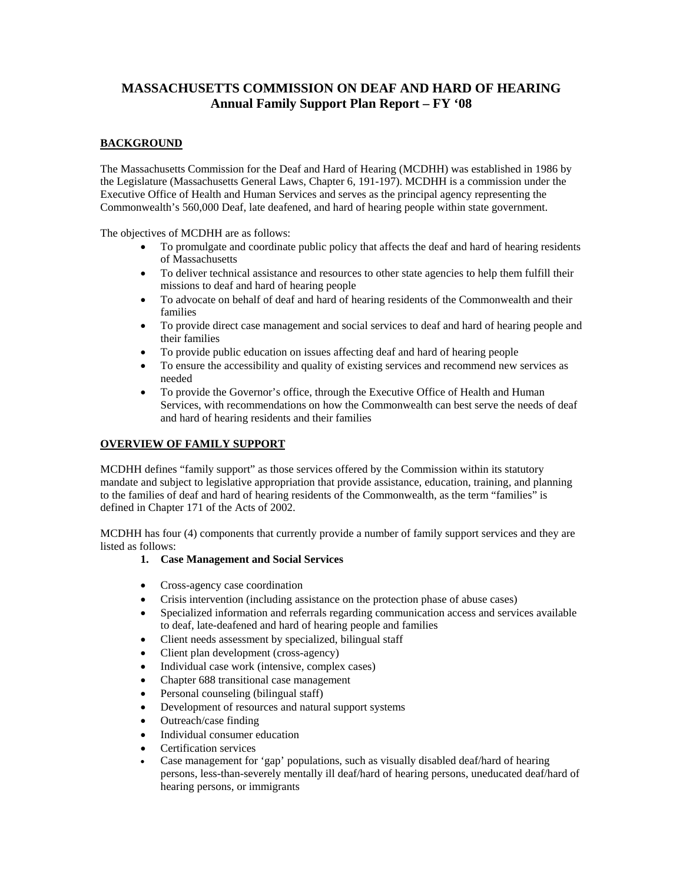# **MASSACHUSETTS COMMISSION ON DEAF AND HARD OF HEARING Annual Family Support Plan Report – FY '08**

## **BACKGROUND**

The Massachusetts Commission for the Deaf and Hard of Hearing (MCDHH) was established in 1986 by the Legislature (Massachusetts General Laws, Chapter 6, 191-197). MCDHH is a commission under the Executive Office of Health and Human Services and serves as the principal agency representing the Commonwealth's 560,000 Deaf, late deafened, and hard of hearing people within state government.

The objectives of MCDHH are as follows:

- To promulgate and coordinate public policy that affects the deaf and hard of hearing residents of Massachusetts
- To deliver technical assistance and resources to other state agencies to help them fulfill their missions to deaf and hard of hearing people
- To advocate on behalf of deaf and hard of hearing residents of the Commonwealth and their families
- To provide direct case management and social services to deaf and hard of hearing people and their families
- To provide public education on issues affecting deaf and hard of hearing people
- To ensure the accessibility and quality of existing services and recommend new services as needed
- To provide the Governor's office, through the Executive Office of Health and Human Services, with recommendations on how the Commonwealth can best serve the needs of deaf and hard of hearing residents and their families

## **OVERVIEW OF FAMILY SUPPORT**

MCDHH defines "family support" as those services offered by the Commission within its statutory mandate and subject to legislative appropriation that provide assistance, education, training, and planning to the families of deaf and hard of hearing residents of the Commonwealth, as the term "families" is defined in Chapter 171 of the Acts of 2002.

MCDHH has four (4) components that currently provide a number of family support services and they are listed as follows:

## **1. Case Management and Social Services**

- Cross-agency case coordination
- Crisis intervention (including assistance on the protection phase of abuse cases)
- Specialized information and referrals regarding communication access and services available to deaf, late-deafened and hard of hearing people and families
- Client needs assessment by specialized, bilingual staff
- Client plan development (cross-agency)
- Individual case work (intensive, complex cases)
- Chapter 688 transitional case management
- Personal counseling (bilingual staff)
- Development of resources and natural support systems
- Outreach/case finding
- Individual consumer education
- Certification services
- Case management for 'gap' populations, such as visually disabled deaf/hard of hearing persons, less-than-severely mentally ill deaf/hard of hearing persons, uneducated deaf/hard of hearing persons, or immigrants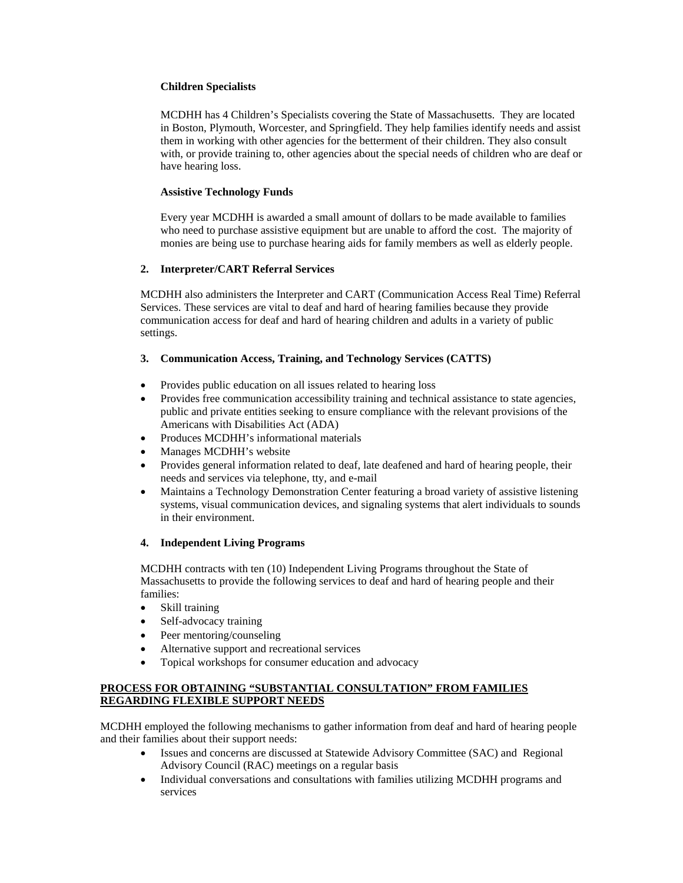### **Children Specialists**

MCDHH has 4 Children's Specialists covering the State of Massachusetts. They are located in Boston, Plymouth, Worcester, and Springfield. They help families identify needs and assist them in working with other agencies for the betterment of their children. They also consult with, or provide training to, other agencies about the special needs of children who are deaf or have hearing loss.

#### **Assistive Technology Funds**

Every year MCDHH is awarded a small amount of dollars to be made available to families who need to purchase assistive equipment but are unable to afford the cost. The majority of monies are being use to purchase hearing aids for family members as well as elderly people.

## **2. Interpreter/CART Referral Services**

MCDHH also administers the Interpreter and CART (Communication Access Real Time) Referral Services. These services are vital to deaf and hard of hearing families because they provide communication access for deaf and hard of hearing children and adults in a variety of public settings.

## **3. Communication Access, Training, and Technology Services (CATTS)**

- Provides public education on all issues related to hearing loss
- Provides free communication accessibility training and technical assistance to state agencies, public and private entities seeking to ensure compliance with the relevant provisions of the Americans with Disabilities Act (ADA)
- Produces MCDHH's informational materials
- Manages MCDHH's website
- Provides general information related to deaf, late deafened and hard of hearing people, their needs and services via telephone, tty, and e-mail
- Maintains a Technology Demonstration Center featuring a broad variety of assistive listening systems, visual communication devices, and signaling systems that alert individuals to sounds in their environment.

## **4. Independent Living Programs**

MCDHH contracts with ten (10) Independent Living Programs throughout the State of Massachusetts to provide the following services to deaf and hard of hearing people and their families:

- Skill training
- Self-advocacy training
- Peer mentoring/counseling
- Alternative support and recreational services
- Topical workshops for consumer education and advocacy

## **PROCESS FOR OBTAINING "SUBSTANTIAL CONSULTATION" FROM FAMILIES REGARDING FLEXIBLE SUPPORT NEEDS**

MCDHH employed the following mechanisms to gather information from deaf and hard of hearing people and their families about their support needs:

- Issues and concerns are discussed at Statewide Advisory Committee (SAC) and Regional Advisory Council (RAC) meetings on a regular basis
- Individual conversations and consultations with families utilizing MCDHH programs and services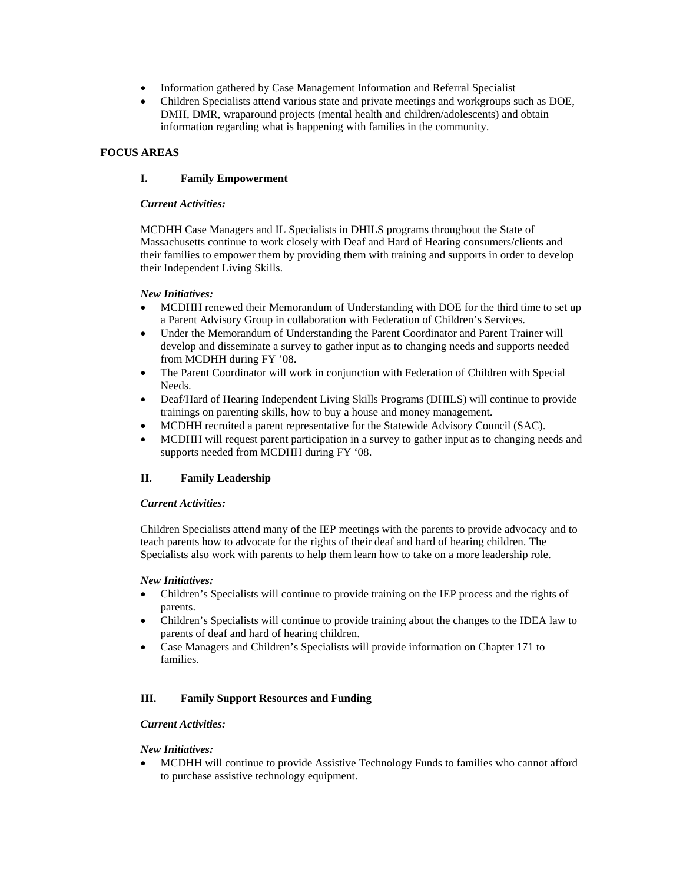- Information gathered by Case Management Information and Referral Specialist
- Children Specialists attend various state and private meetings and workgroups such as DOE, DMH, DMR, wraparound projects (mental health and children/adolescents) and obtain information regarding what is happening with families in the community.

## **FOCUS AREAS**

## **I. Family Empowerment**

#### *Current Activities:*

MCDHH Case Managers and IL Specialists in DHILS programs throughout the State of Massachusetts continue to work closely with Deaf and Hard of Hearing consumers/clients and their families to empower them by providing them with training and supports in order to develop their Independent Living Skills.

#### *New Initiatives:*

- MCDHH renewed their Memorandum of Understanding with DOE for the third time to set up a Parent Advisory Group in collaboration with Federation of Children's Services.
- Under the Memorandum of Understanding the Parent Coordinator and Parent Trainer will develop and disseminate a survey to gather input as to changing needs and supports needed from MCDHH during FY '08.
- The Parent Coordinator will work in conjunction with Federation of Children with Special Needs.
- Deaf/Hard of Hearing Independent Living Skills Programs (DHILS) will continue to provide trainings on parenting skills, how to buy a house and money management.
- MCDHH recruited a parent representative for the Statewide Advisory Council (SAC).
- MCDHH will request parent participation in a survey to gather input as to changing needs and supports needed from MCDHH during FY '08.

## **II. Family Leadership**

## *Current Activities:*

Children Specialists attend many of the IEP meetings with the parents to provide advocacy and to teach parents how to advocate for the rights of their deaf and hard of hearing children. The Specialists also work with parents to help them learn how to take on a more leadership role.

## *New Initiatives:*

- Children's Specialists will continue to provide training on the IEP process and the rights of parents.
- Children's Specialists will continue to provide training about the changes to the IDEA law to parents of deaf and hard of hearing children.
- Case Managers and Children's Specialists will provide information on Chapter 171 to families.

## **III. Family Support Resources and Funding**

## *Current Activities:*

## *New Initiatives:*

• MCDHH will continue to provide Assistive Technology Funds to families who cannot afford to purchase assistive technology equipment.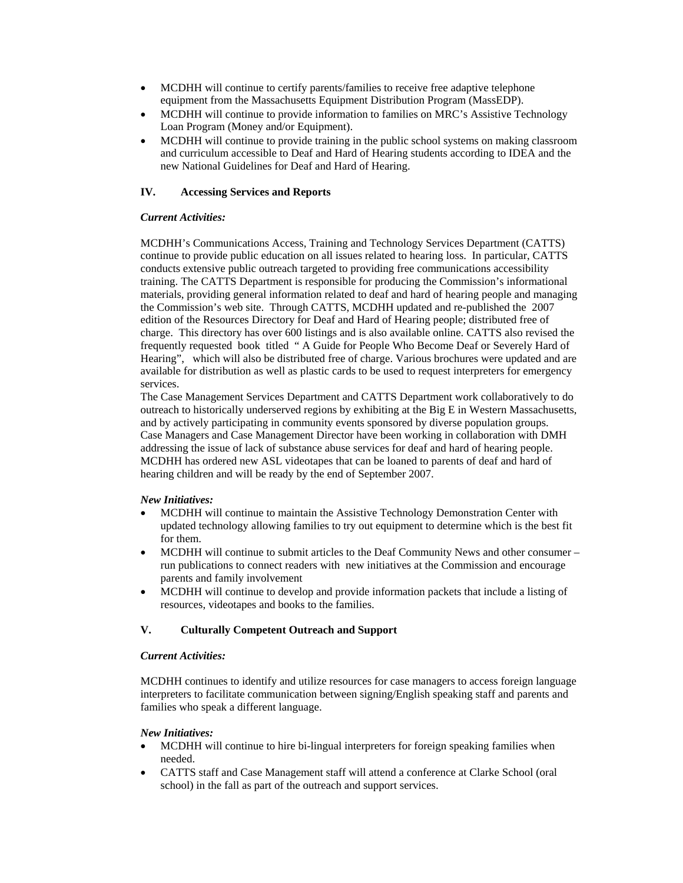- MCDHH will continue to certify parents/families to receive free adaptive telephone equipment from the Massachusetts Equipment Distribution Program (MassEDP).
- MCDHH will continue to provide information to families on MRC's Assistive Technology Loan Program (Money and/or Equipment).
- MCDHH will continue to provide training in the public school systems on making classroom and curriculum accessible to Deaf and Hard of Hearing students according to IDEA and the new National Guidelines for Deaf and Hard of Hearing.

## **IV. Accessing Services and Reports**

#### *Current Activities:*

MCDHH's Communications Access, Training and Technology Services Department (CATTS) continue to provide public education on all issues related to hearing loss. In particular, CATTS conducts extensive public outreach targeted to providing free communications accessibility training. The CATTS Department is responsible for producing the Commission's informational materials, providing general information related to deaf and hard of hearing people and managing the Commission's web site. Through CATTS, MCDHH updated and re-published the 2007 edition of the Resources Directory for Deaf and Hard of Hearing people; distributed free of charge. This directory has over 600 listings and is also available online. CATTS also revised the frequently requested book titled " A Guide for People Who Become Deaf or Severely Hard of Hearing", which will also be distributed free of charge. Various brochures were updated and are available for distribution as well as plastic cards to be used to request interpreters for emergency services.

The Case Management Services Department and CATTS Department work collaboratively to do outreach to historically underserved regions by exhibiting at the Big E in Western Massachusetts, and by actively participating in community events sponsored by diverse population groups. Case Managers and Case Management Director have been working in collaboration with DMH addressing the issue of lack of substance abuse services for deaf and hard of hearing people. MCDHH has ordered new ASL videotapes that can be loaned to parents of deaf and hard of hearing children and will be ready by the end of September 2007.

#### *New Initiatives:*

- MCDHH will continue to maintain the Assistive Technology Demonstration Center with updated technology allowing families to try out equipment to determine which is the best fit for them.
- MCDHH will continue to submit articles to the Deaf Community News and other consumer run publications to connect readers with new initiatives at the Commission and encourage parents and family involvement
- MCDHH will continue to develop and provide information packets that include a listing of resources, videotapes and books to the families.

## **V. Culturally Competent Outreach and Support**

#### *Current Activities:*

MCDHH continues to identify and utilize resources for case managers to access foreign language interpreters to facilitate communication between signing/English speaking staff and parents and families who speak a different language.

## *New Initiatives:*

- MCDHH will continue to hire bi-lingual interpreters for foreign speaking families when needed.
- CATTS staff and Case Management staff will attend a conference at Clarke School (oral school) in the fall as part of the outreach and support services.